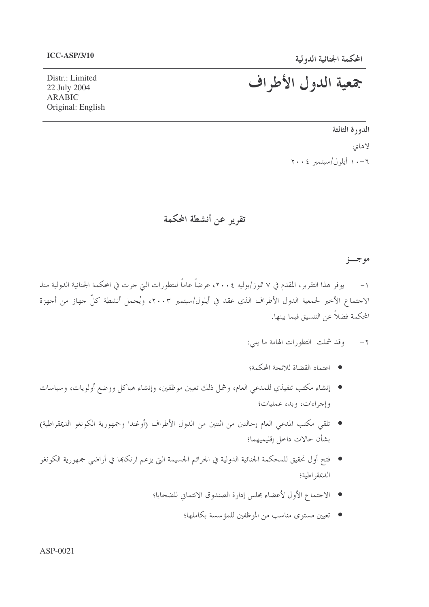### **ICC-ASP/3/10**

# جمعية الدول الأطراف

Distr.: Limited 22 July 2004 ARABIC Original: English

> الدورة الثالثة لاهاي ٦-١٠ أيلول/سبتمبر ٢٠٠٤

تقرير عن أنشطة المحكمة

موجسز

١– يوفر هذا التقرير، المقدم في ٧ تموز/يوليه ٢٠٠٤، عرضاً عاماً للتطورات التي حرت في المحكمة الجنائية الدولية منذ الاحتماع الأخير لجمعية الدول الأطراف الذي عقد في أيلول/سبتمبر ٢٠٠٣، ويُحمل أنشطة كلّ حهاز من أحهزة المحكمة فضلاً عن التنسيق فيما بينها.

- ٢- وقد شملت التطورات الهامة ما يلي:
- اعتماد القضاة للائحة المحكمة؛
- إنشاء مكتب تنفيذي للمدعي العام، وشمل ذلك تعيين موظفين، وإنشاء هياكل ووضع أولويات، وسياسات وإجراءات، وبدء عمليات؛
- تلقي مكتب المدعي العام إحالتين من اثنتين من الدول الأطراف (أوغندا وجمهورية الكونغو الديمقراطية) بشأن حالات داخل إقليميهما؛
- فتح أول تحقيق للمحكمة الجنائية الدولية في الجرائم الجسيمة التي يزعم ارتكاها في أراضي جمهورية الكونغو الديمقر اطية؛
	- الاحتماع الأول لأعضاء محلس إدارة الصندوق الائتماني للضحايا؛
		- تعيين مستوى مناسب من الموظفين للمؤسسة بكاملها؛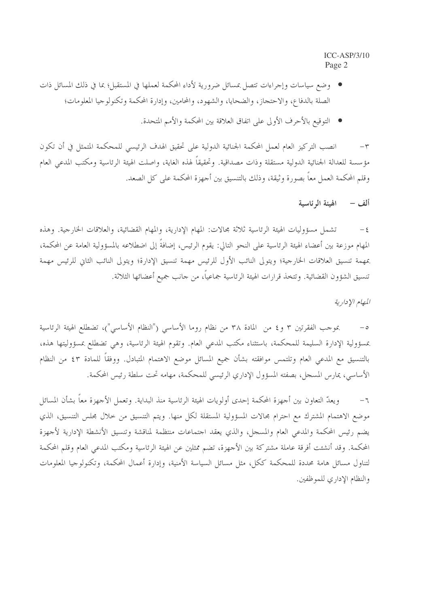- وضع سياسات وإجراءات تتصل بمسائل ضرورية لأداء المحكمة لعملها في المستقبل؛ بما في ذلك المسائل ذات الصلة بالدفاع، والاحتجاز، والضحايا، والشهود، والمحامين، وإدارة المحكمة وتكنولوجيا المعلومات؛
	- التوقيع بالأحرف الأولى على اتفاق العلاقة بين المحكمة والأمم المتحدة.

k-\_k @{ )-W PN&+ 7 Q M&o y5 )& \* )&+-', )-. @: -: H&A b sC > مؤسسة للعدالة الجنائية الدولية مستقلة وذات مصداقية. وتحقيقاً لهذه الغاية، واصلت الهيئة الرئاسية ومكتب المدعي العام وقلم المحكمة العمل معاً بصورة وثيقة، وذلك بالتنسيق بين أحهزة المحكمة على كل الصعد.

> ىيئة الرئاسية ألف –

٤– تشمل مسؤوليات الهيئة الرئاسية ثلاثة مجالات: المهام الإدارية، والمهام القضائية، والعلاقات الخارحية. وهذه المهام موزعة بين أعضاء الهيئة الرئاسية على النحو التالي: يقوم الرئيس، إضافةً إلى اضطلاعه بالمسؤولية العامة عن المحكمة، بمهمة تنسيق العلاقات الخارجية؛ ويتولى النائب الأول للرئيس مهمة تنسيق الإدارة؛ ويتولى النائب الثاني للرئيس مهمة تنسيق الشؤون القضائية. وتتخذ قرارات الهيئة الرئاسية جماعياً، من حانب جميع أعضائها الثلاثة.

المهام الإدارية

0– بموجب الفقرتين ٣ و٤ من المادة ٣٨ من نظام روما الأساسبي ("النظام الأساسبي")، تضطلع الهيئة الرئاسية بمسؤولية الإدارة السليمة للمحكمة، باستثناء مكتب المدعي العام. وتقوم الهيئة الرئاسية، وهي تضطلع بمسؤوليتها هذه، بالتنسيق مع المدعي العام وتلتمس موافقته بشأن جميع المسائل موضع الاهتمام المتبادل. ووفقاً للمادة ٤٣ من النظام L الأساسي، يمارس المسحل، بصفته المسؤول الإداري الرئيسي للمحكمة، مهامه تحت سلطة رئيس المحكمة.

٦– ويعدّ التعاون بين أحهزة المحكمة إحدى أولويات الهيئة الرئاسية منذ البداية. وتعمل الأجهزة معاً بشأن المسائل موضع الاهتمام المشترك مع احترام محالات المسؤولية المستقلة لكل منها. ويتم التنسيق من خلال محلس التنسيق، الذي يضم رئيس المحكمة والمدعي العام والمسحل، والذي يعقد احتماعات منتظمة لمناقشة وتنسيق الأنشطة الإدارية لأحهزة المحكمة. وقد أنشئت أفرقة عاملة مشتركة بين الأجهزة، تضم ممثلين عن الهيئة الرئاسية ومكتب المدعي العام وقلم المحكمة لتناول مسائل هامة محددة للمحكمة ككل، مثل مسائل السياسة الأمنية، وإدارة أعمال المحكمة، وتكنولوجيا المعلومات والنظام الإداري للموظفين.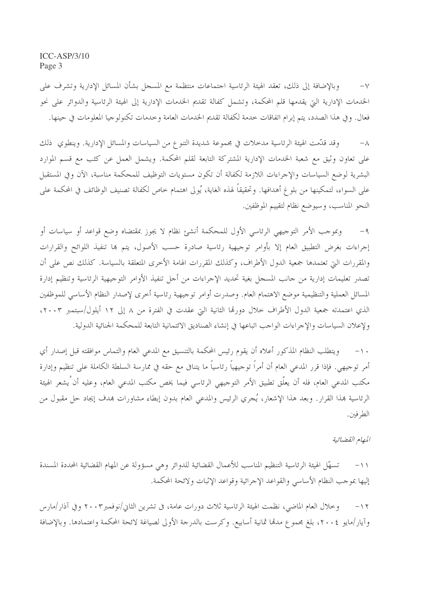وبالإضافة إلى ذلك، تعقد الهيئة الرئاسية اجتماعات منتظمة مع المسجل بشأن المسائل الإدارية وتشرف على  $-\vee$ الخدمات الإدارية التي يقدمها قلم المحكمة، وتشمل كفالة تقديم الخدمات الإدارية إلى الهيئة الرئاسية والدوائر على نحو فعال. وفي هذا الصدد، يتم إبرام اتفاقات خدمة لكفالة تقديم الخدمات العامة وخدمات تكنولوجيا المعلومات في حينها.

وقد قدَّمت الهيئة الرئاسية مدخلات في مجموعة شديدة التنوع من السياسات والمسائل الإدارية. وينطوي ذلك  $-\lambda$ على تعاون وثيق مع شعبة الخدمات الإدارية المشتركة التابعة لقلم المحكمة. ويشمل العمل عن كثب مع قسم الموارد البشرية لوضع السياسات والإجراءات اللازمة لكفالة أن تكون مستويات التوظيف للمحكمة مناسبة، الآن وفي المستقبل على السواء، لتمكينها من بلو غ أهدافها. وتحقيقاً لهذه الغاية، يُولى اهتمام حاص لكفالة تصنيف الوظائف في المحكمة على النحو المناسب، وسيوضع نظام لتقييم الموظفين.

٩- وبموجب الأمر التوجيهي الرئاسي الأول للمحكمة أنشئ نظام لا يجوز بمقتضاه وضع قواعد أو سياسات أو إجراءات بغرض التطبيق العام إلا بأوامر توجيهية رئاسية صادرة حسب الأصول، يتم ها تنفيذ اللوائح والقرارات والمقررات التي تعتمدها جمعية الدول الأطراف، وكذلك المقررات الهامة الأخرى المتعلقة بالسياسة. كذلك نص على أن تصدر تعليمات إدارية من حانب المسحل بغية تحديد الإحراءات من أحل تنفيذ الأوامر التوحيهية الرئاسية وتنظيم إدارة المسائل العملية والتنظيمية موضع الاهتمام العام. وصدرت أوامر توجيهية رئاسية أخرى لإصدار النظام الأساسى للموظفين الذي اعتمدته جمعية الدول الأطراف خلال دورتما الثانية التي عقدت في الفترة من ٨ إلى ١٢ أيلول/سبتمبر ٢٠٠٣، ولإعلان السياسات والإجراءات الواجب اتباعها في إنشاء الصناديق الائتمانية التابعة للمحكمة الجنائية الدولية.

ويتطلب النظام المذكور أعلاه أن يقوم رئيس المحكمة بالتنسيق مع المدعى العام والتماس موافقته قبل إصدار أي  $- \wedge$ أمر توجيهي. فإذا قرر المدعى العام أن أمراً توجيهياً رئاسياً ما يتنافى مع حقه في ممارسة السلطة الكاملة على تنظيم وإدارة مكتب المدعى العام، فله أن يعلَّق تطبيق الأمر التوجيهي الرئاسي فيما يخص مكتب المدعى العام، وعليه أن ُيشعر الهيئة الرئاسية بمذا القرار . وبعد هذا الإشعار ، يُجرى الرئيس والمدعى العام بدون إبطاء مشاورات بمدف إيجاد حل مقبول من الطرفين.

### المهام القضائية

تسهّل الهيئة الرئاسية التنظيم المناسب للأعمال القضائية للدوائر وهي مسؤولة عن المهام القضائية المحددة المسندة  $-11$ إليها بموحب النظام الأساسي والقواعد الإحرائية وقواعد الإثبات ولائحة المحكمة.

وخلال العام الماضي، نظمت الهيئة الرئاسية ثلاث دورات عامة، في تشرين الثاني/نوفمبر٢٠٠٣ وفي آذار/مارس  $-17$ وآيار/مايو ٢٠٠٤، بلغ مجموع مدقما ثمانية أسابيع. وكرست بالدرجة الأولى لصياغة لائحة المحكمة واعتمادها. وبالإضافة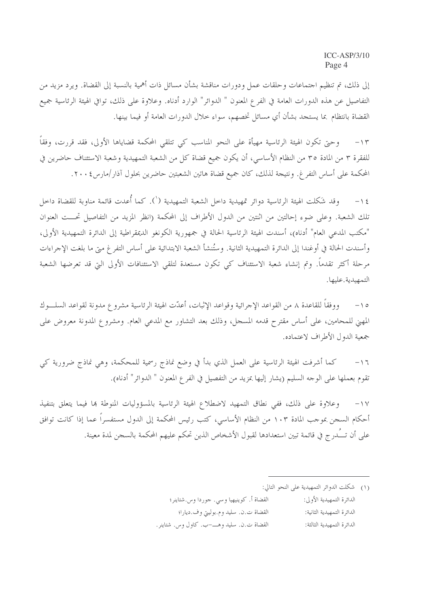إلى ذلك، تم تنظيم احتماعات وحلقات عمل ودورات مناقشة بشأن مسائل ذات أهمية بالنسبة إلى القضاة. ويرد مزيد من التفاصيل عن هذه الدورات العامة في الفرع المعنون " الدوائر" الوارد أدناه. وعلاوة على ذلك، توافي الهيئة الرئاسية جميع القضاة بانتظام بما يستجد بشأن أي مسائل تخصهم، سواء حلال الدورات العامة أو فيما بينها.

وحيٍّ تكون الهيئة الرئاسية مهيأة على النحو المناسب كي تتلقى المحكمة قضاياها الأولى، فقد قررت، وفقاً  $-14$ للفقرة ٣ من المادة ٣٥ من النظام الأساسي، أن يكون جميع قضاة كل من الشعبة التمهيدية وشعبة الاستئناف حاضرين في المحكمة على أساس التفر غ. ونتيجة لذلك، كان جميع قضاة هاتين الشعبتين حاضرين بحلول آذار/مارس٢٠٠٤.

وقد شَكلت الهيئة الرئاسية دوائر تمهيدية داخل الشعبة التمهيدية (`). كما أُعدت قائمة مناوبة للقضاة داخل  $-\iota$ تلك الشعبة. وعلى ضوء إحالتين من اثنتين من الدول الأطراف إلى المحكمة (انظر المزيد من التفاصيل تحـــت العنوان "مكتب المدعى العام" أدناه)، أسندت الهيئة الرئاسية الحالة في جمهورية الكونغو الديمقراطية إلى الدائرة التمهيدية الأولى، وأسندت الحالة في أوغندا إلى الدائرة التمهيدية الثانية. وستُنشأ الشعبة الابتدائية على أساس التفرغ متى ما بلغت الإحراءات مرحلة أكثر تقدماً. وتم إنشاء شعبة الاستئناف كي تكون مستعدة لتلقى الاستئنافات الأولى التي قد تعرضها الشعبة التمهيدية.عليها.

ووفقاً للقاعدة ٨ من القواعد الإجرائية وقواعد الإثبات، أعدّت الهيئة الرئاسية مشرو ع مدونة لقواعد السلـــوك  $-10$ المهنى للمحامين، على أساس مقترح قدمه المسحل، وذلك بعد التشاور مع المدعي العام. ومشروع المدونة معروض على جمعية الدول الأطراف لاعتماده.

كما أشرفت الهيئة الرئاسية على العمل الذي بدأ في وضع نماذج رسمية للمحكمة، وهي نماذج ضرورية كي  $-17$ تقوم بعملها على الوحه السليم (يشار إليها بمزيد من التفصيل في الفر ع المعنون " الدوائر" أدناه).

وعلاوة على ذلك، ففي نطاق التمهيد لاضطلاع الهيئة الرئاسية بالمسؤوليات المنوطة ها فيما يتعلق بتنفيذ  $-1V$ أحكام السجن بموجب المادة ١٠٣ من النظام الأساسي، كتب رئيس المحكمة إلى الدول مستفسراً عما إذا كانت توافق على أن تــُـدرج في قائمة تبين استعدادها لقبول الأشخاص الذين تحكم عليهم المحكمة بالسجن لمدة معينة.

القضاة أ. كوينيهيا وسي. جوردا وس.شتاينر؛ الدائرة التمهيدية الأولى: القضاة ت.ن. سليد وم.بوليتي وف.ديارا؛ الدائرة التمهيدية الثانية: القضاة ت.ن. سليد وهــــــــــ كاول وس. شتاينر. الدائرة التمهيدية الثالثة:

<sup>(</sup>١) شكلت الدوائر التمهيدية على النحو التالي: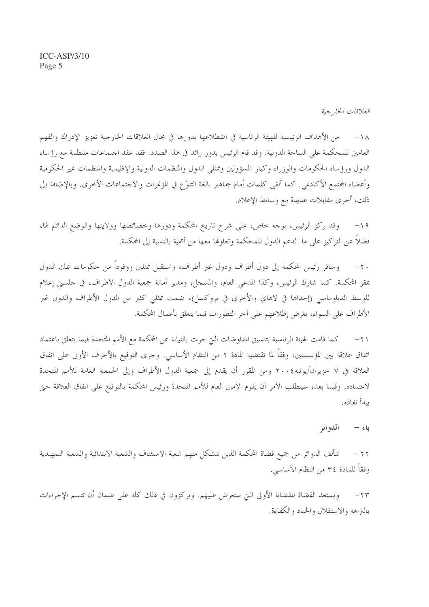العلاقات الخار جية

من الأهداف الرئيسية للهيئة الرئاسية في اضطلاعها بدورها في مجال العلاقات الخارجية تعزيز الإدراك والفهم  $-\wedge\wedge$ العامين للمحكمة على الساحة الدولية. وقد قام الرئيس بدور رائد في هذا الصدد. فقد عقد احتماعات منتظمة مع رؤساء الدول ورؤساء الحكومات والوزراء وكبار المسؤولين وممثلي الدول والمنظمات الدولية والإقليمية والمنظمات غير الحكومية وأعضاء المجتمع الأكاديمي. كما ألقى كلمات أمام جماهير بالغة التنوَّع في المؤتمرات والاجتماعات الأخرى. وبالإضافة إلى ذلك، أجرى مقابلات عديدة مع و سائط الإعلام.

وقد ركز الرئيس، بوجه حاص، على شرح تاريخ المحكمة ودورها وخصائصها وولايتها والوضع الدائم لها،  $-19$ فضلاً عن التركيز على ما لدعم الدول للمحكمة وتعاولها معها من أهمية بالنسبة إلى المحكمة.

وسافر رئيس المحكمة إلى دول أطراف ودول غير أطراف، واستقبل ممثلين ووفوداً من حكومات تلك الدول  $-\gamma$ . بمقر المحكمة. كما شارك الرئيس، وكذا المدعى العام، والمسجل، ومدير أمانة جمعية الدول الأطراف، في حلسني إعلام للوسط الدبلوماسي (إحداها في لاهاي والأخرى في بروكسل)، ضمت ممثلي كثير من الدول الأطراف والدول غير الأطراف على السواء، بغرض إطلاعهم على آخر التطورات فيما يتعلق بأعمال المحكمة.

كما قامت الهيئة الرئاسية بتنسيق المفاوضات التي جرت بالنيابة عن المحكمة مع الأمم المتحدة فيما يتعلق باعتماد  $-\tau$ اتفاق علاقة بين المؤسستين، وفقاً لما تقتضيه المادة ٢ من النظام الأساسي. وحرى التوقيع بالأحرف الأولى على اتفاق العلاقة في ٧ حزيران/يونيه٤ ٢٠٠ ومن المقرر أن يقدم إلى جمعية الدول الأطراف وإلى الجمعية العامة للأمم المتحدة لاعتماده. وفيما بعد، سيتطلب الأمر أن يقوم الأمين العام للأمم المتحدة ورئيس المحكمة بالتوقيع على اتفاق العلاقة حتى بيدأ نفاذه.

#### الدو ائر باءِ –

تتألف الدوائر من جميع قضاة المحكمة الذين تتشكل منهم شعبة الاستئناف والشعبة الابتدائية والشعبة التمهيدية  $-77$ وفقاً للمادة ٣٤ من النظام الأساسي.

ويستعد القضاة للقضايا الأولى التي ستعرض عليهم. ويركزون في ذلك كله على ضمان أن تتسم الإجراءات  $-\tau\tau$ بالنزاهة والاستقلال والحياد والكفاءة.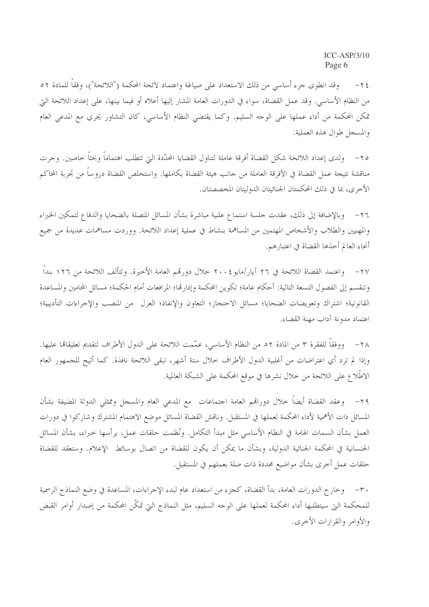وقد انطوى جزء أساسي من ذلك الاستعداد على صياغة واعتماد لائحة المحكمة ("اللائحة")، وفقاً للمادة ٥٢  $-\tau$  { من النظام الأساسي. وقد عمل القضاة، سواء في الدورات العامة المشار إليها أعلاه أو فيما بينها، على إعداد اللائحة التي تمكن المحكمة من أداء عملها على الوجه السليم. وكما يقتضي النظام الأساسي، كان التشاور يجري مع المدعى العام والمسجل طوال هذه العملية.

ولدى إعداد اللائحة شكل القضاة أفرقة عاملة لتناول القضايا المحدّدة التيّ تتطلب اهتماماً وبحثاً حاصين. وجرت  $-\tau$ مناقشة نتيجة عمل القضاة في الأفرقة العاملة من جانب هيئة القضاة بكاملها. واستخلص القضاة دروساً من تجربة المحاكم الأخرى، بما في ذلك المحكمتان الجنائيتان الدوليتان المخصصتان.

وبالإضافة إلى ذلك، عقدت حلسة استماع علنية مباشرة بشأن المسائل المتصلة بالضحايا والدفاع لتمكين الخبراء  $-77$ والمهنيين والطلاب والأشخاص المهتمين من المساهمة بنشاط في عملية إعداد اللائحة. ووردت مساهمات عديدة من جميع أنحاء العالم أخذها القضاة في اعتبارهم.

٢٧ – واعتمد القضاة اللائحة في ٢٦ آيار/مايو ٢٠٠٤ حلال دورتمم العامة الأخيرة. وتتألف اللائحة من ١٢٦ بنداً وتنقسم إلى الفصول التسعة التالية: أحكام عامة؛ تكوين المحكمة وإدارها؛ المرافعات أمام الحكمة؛ مسائل المحامين والمساعدة القانونية؛ اشتراك وتعويضات الضحايا؛ مسائل الاحتجاز؛ التعاون والإنفاذ؛ العزل ً من المنصب والإجراءات التأديبية؛ اعتماد مدونة آداب مهنة القضاء.

٢٨ - ووفقاً للفقرة ٣ من المادة ٥٢ من النظام الأساسي، عمّمت اللائحة على الدول الأطراف لتقديم تعليقاهًا عليها. وإذا لم ترد أي اعتراضات من أغلبية الدول الأطراف خلال ستة أشهر، تبقى اللائحة نافذة. كما أتيح للجمهور العام الاطِّلاع على اللائحة من خلال نشرها في موقع المحكمة على الشبكة العالمية.

٢٩– وعقد القضاة أيضاً حلال دوراقم العامة اجتماعات مع المدعى العام والمسجل وممثلي الدولة المضيفة بشأن المسائل ذات الأهمية لأداء المحكمة لعملها في المستقبل. وناقش القضاة المسائل موضع الاهتمام المشترك وشاركوا في دورات العمل بشأن السمات الهامة في النظام الأساسي مثل مبدأ التكامل. ونُظمت حلقات عمل، يرأسها خبراء، بشأن المسائل الجنسانية في المحكمة الجنائية الدولية، وبشأن ما يمكن أن يكون للقضاة من اتصال بوسائط الإعلام. وستعقد للقضاة حلقات عمل أخرى بشأن مواضيع محددة ذات صلة بعملهم في المستقبل.

٣٠ – وخارج الدورات العامة، بدأ القضاة، كجزء من استعداد عام لبدء الإحراءات، المساعدة في وضع النماذج الرسمية للمحكمة التي سيتطلبها أداء المحكمة لعملها على الوجه السليم، مثل النماذج التي تمكَّن المحكمة من إصدار أوامر القبض والأوامر والقرارات الأخرى.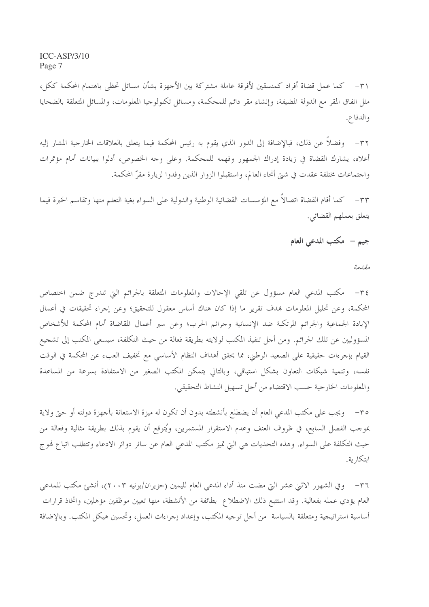٣١– كما عمل قضاة أفراد كمنسقين لأفرقة عاملة مشتركة بين الأجهزة بشأن مسائل تحظى باهتمام المحكمة ككل، مثل اتفاق المقر مع الدولة المضيفة، وإنشاء مقر دائم للمحكمة، ومسائل تكنولوجيا المعلومات، والمسائل المتعلقة بالضحايا والدفاع.

٣٢– وفضلاً عن ذلك، فبالإضافة إلى الدور الذي يقوم به رئيس المحكمة فيما يتعلق بالعلاقات الخارجية المشار إليه أعلاه، يشارك القضاة في زيادة إدراك الجمهور وفهمه للمحكمة. وعلى وجه الخصوص، أدلوا ببيانات أمام مؤتمرات واحتماعات مختلفة عقدت في شيّ أنحاء العالم، واستقبلوا الزوار الذين وفدوا لزيارة مقرّ المحكمة.

٣٣– كما أقام القضاة اتصالاً مع المؤسسات القضائية الوطنية والدولية على السواء بغية التعلم منها وتقاسم الخبرة فيما يتعلق بعملهم القضائي.

# جيم - مكتب المدعى العام

مقلدمة

٣٤– مكتب المدعي العام مسؤول عن تلقي الإحالات والمعلومات المتعلقة بالجرائم التي تندرج ضمن اختصاص المحكمة، وعن تحليل المعلومات بمدف تقرير ما إذا كان هناك أساس معقول للتحقيق؛ وعن إجراء تحقيقات في أعمال الإبادة الجماعية والجرائم المرتكبة ضد الإنسانية وجرائم الحرب؛ وعن سير أعمال المقاضاة أمام المحكمة للأشخاص المسؤوليين عن تلك الجرائم. ومن أحل تنفيذ المكتب لولايته بطريقة فعالة من حيث التكلفة، سيسعى المكتب إلى تشجيع القيام بإجرءات حقيقية على الصعيد الوطني، مما يحقق أهداف النظام الأساسي مع تخفيف العبء عن المحكمة في الوقت نفسه، وتنمية شبكات التعاون بشكل استباقى، وبالتالي يتمكن المكتب الصغير من الاستفادة بسرعة من المساعدة والمعلومات الخارجية حسب الاقتضاء من أجل تسهيل النشاط التحقيقي.

٣٥– ويجب على مكتب المدعى العام أن يضطلع بأنشطته بدون أن تكون له ميزة الاستعانة بأجهزة دولته أو حتى ولاية بموجب الفصل السابع، في ظروف العنف وعدم الاستقرار المستمرين، ويُتوقع أن يقوم بذلك بطريقة مثالية وفعالة من حيث التكلفة على السواء. وهذه التحديات هي التي تميز مكتب المدعى العام عن سائر دوائر الادعاء وتتطلب اتباع فموج ابتكارية.

٣٦– وفي الشهور الاثني عشر التي مضت منذ أداء المدعى العام لليمين (حزيران/يونيه ٢٠٠٣)، أنشئ مكتب للمدعى العام يؤدي عمله بفعالية. وقد استتبع ذلك الاضطلاع بطائفة من الأنشطة، منها تعيين موظفين مؤهلين، واتخاذ قرارات أساسية استراتيجية ومتعلقة بالسياسة ً من أجل توجيه المكتب، وإعداد إجراءات العمل، وتحسين هيكل المكتب. وبالإضافة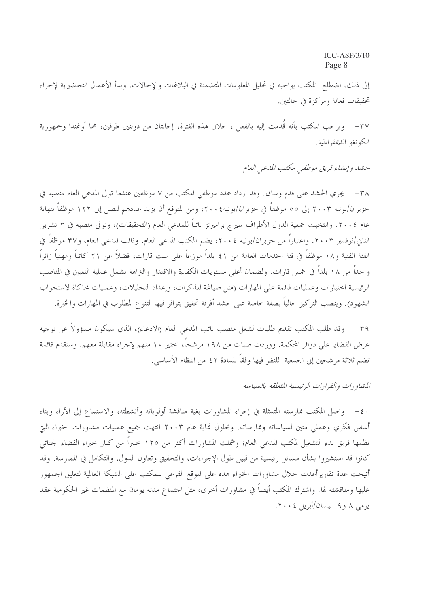إلى ذلك، اضطلع المكتب بواجبه في تحليل المعلومات المتضمنة في البلاغات والإحالات، وبدأ الأعمال التحضيرية لإجراء تحقيقات فعالة ومركزة في حالتين.

ويرحب المكتب بأنه قَدمت إليه بالفعل ، حلال هذه الفترة، إحالتان من دولتين طرفين، هما أوغندا وجمهورية  $-\tau v$ الكونغو الديمقراطية.

حشد وإنشاء فريق موظفي مكتب المدعي العام

٣٨ – يجري الحشد على قدم وساق. وقد ازداد عدد موظفي المكتب من ٧ موظفين عندما تولى المدعى العام منصبه في حزيران/يونيه ٢٠٠٣ إلى ٥٥ موظفاً في حزيران/يونيه٤٠٠٢، ومن المتوقع أن يزيد عددهم ليصل إلى ١٢٢ موظفاً بنهاية عام ٢٠٠٤. وانتخبت جمعية الدول الأطراف سيرج براميرتز نائباً للمدعى العام (التحقيقات)، وتولى منصبه في ٣ تشرين الثاني/نوفمبر ٢٠٠٣. واعتباراً من حزيران/يونيه ٢٠٠٤، يضم المكتب المدعى العام، ونائب المدعى العام، و٣٧ موظفاً في الفئة الفنية و١٨ موظفاً في فئة الخدمات العامة من ٤١ بلداً موزعاً على ست قارات، فضالاً عن ٢١ كاتباً ومهنياً زائراً واحداً من ١٨ بلداً في خمس قارات. ولضمان أعلى مستويات الكفاءة والاقتدار والتراهة تشمل عملية التعيين في المناصب الرئيسية اختبارات وعمليات قائمة على المهارات (مثل صياغة المذكرات، وإعداد التحليلات، وعمليات محاكاة لاستجواب الشهود). وينصب التركيز حالياً بصفة حاصة على حشد أفرقة تحقيق يتوافر فيها التنوع المطلوب في المهارات والخبرة.

٣٩ – وقد طلب المكتب تقديم طلبات لشغل منصب نائب المدعى العام (الادعاء)، الذي سيكون مسؤولاً عن توجيه عرض القضايا على دوائر المحكمة. ووردت طلبات من ١٩٨ مرشحاً، اختير ١٠ منهم لإجراء مقابلة معهم. وستقدم قائمة تضم ثلاثة مرشحين إلى الجمعية للنظر فيها وفقاً للمادة ٢٤ من النظام الأساسي.

المشاورات والفرارات الرئيسية المتعلقة بالسياسة

٤٠ – واصل المكتب ممارسته المتمثلة في إجراء المشاورات بغية مناقشة أولوياته وأنشطته، والاستماع إلى الآراء وبناء أساس فكري وعملي متين لسياساته وممارساته. وبحلول فماية عام ٢٠٠٣ انتهت جميع عمليات مشاورات الخبراء البيّ نظمها فريق بدء التشغيل لمكتب المدعى العام؛ وشملت المشاورات أكثر من ١٢٥ خبيراً من كبار خبراء القضاء الجنائبي كانوا قد استشيروا بشأن مسائل رئيسية من قبيل طول الإجراءات، والتحقيق وتعاون الدول، والتكامل في الممارسة. وقد أتيحت عدة تقاريرأعدت خلال مشاورات الخبراء هذه على الموقع الفرعي للمكتب على الشبكة العالمية لتعليق الجمهور عليها ومناقشته لها. واشترك المكتب أيضاً في مشاورات أخرى، مثل احتماع مدته يومان مع المنظمات غير الحكومية عقد یومی ۸ و۹ نیسان/أبریل ۲۰۰٤.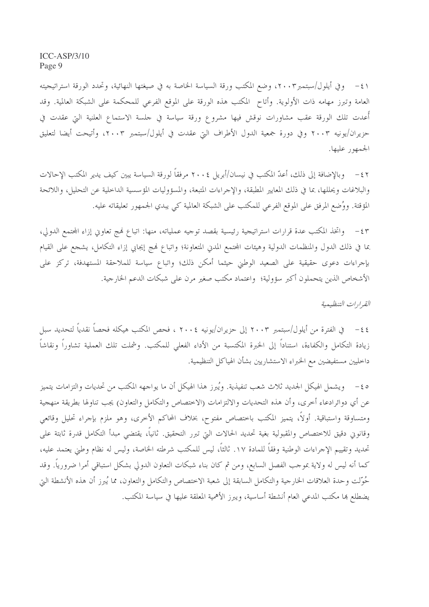٤١ – وفي أيلول/سبتمبر٢٠٠٣، وضع المكتب ورقة السياسة الخاصة به في صيغتها النهائية، وتحدد الورقة استراتيجيته العامة وتبرز مهامه ذات الأولوية. وأتاح المكتب هذه الورقة على الموقع الفرعي للمحكمة على الشبكة العالمية. وقد أُعدت تلك الورقة عقب مشاورات نوقش فيها مشروع ورقة سياسة في حلسة الاستماع العلنية التي عقدت في حزيران/يونيه ٢٠٠٣ وفي دورة جمعية الدول الأطراف التي عقدت في أيلول/سبتمبر ٢٠٠٣، وأتيحت أيضا لتعليق الجمهور عليها.

وبالإضافة إلى ذلك، أعدّ المكتب في نيسان/أبريل ٢٠٠٤ مرفقاً لورقة السياسة يبين كيف يدير المكتب الإحالات  $-\xi$   $\zeta$ والبلاغات ويحللها، بما في ذلك المعايير المطبقة، والإجراءات المتبعة، والمسؤوليات المؤسسية الداخلية عن التحليل، واللائحة المؤقتة. ووُضِع المرفق على الموقع الفرعي للمكتب على الشبكة العالمية كي يبدي الجمهور تعليقاته عليه.

واتخذ المكتب عدة قرارات استراتيجية رئيسية بقصد توجيه عملياته، منها: اتباع فمج تعاوين إزاء المحتمع الدولي،  $-\xi$ ٣ بما في ذلك الدول والمنظمات الدولية وهيئات المحتمع المدن المتعاونة؛ واتباع فمج إيجابي إزاء التكامل، يشجع على القيام بإجراءات دعوى حقيقية على الصعيد الوطني حيثما أمكن ذلك؛ واتباع سياسة للملاحقة المستهدفة، تركز على الأشخاص الذين يتحملون أكبر سؤولية؛ واعتماد مكتب صغير مرن على شبكات الدعم الخارجية.

القيرارات التنظيمية

في الفترة من أيلول/سبتمبر ٢٠٠٣ إلى حزيران/يونيه ٢٠٠٤ ، فحص المكتب هيكله فحصاً نقدياً لتحديد سبل  $-\xi$   $\xi$ زيادة التكامل والكفاءة، استناداً إلى الخبرة المكتسبة من الأداء الفعلي للمكتب. وشملت تلك العملية تشاوراً ونقاشاً داخليين مستفيضين مع الخبراء الاستشاريين بشأن الهياكل التنظيمية.

ه ٤ − ويشمل الهيكل الجديد ثلاث شعب تنفيذية. ويُبرز هذا الهيكل أن ما يواجهه المكتب من تحديات والتزامات يتميز عن أي دوائرادعاء أخرى، وأن هذه التحديات والالتزامات (الاختصاص والتكامل والتعاون) يجب تناولها بطريقة منهجية ومتساوقة واستباقية. أولًا، يتميز المكتب باختصاص مفتوح، بخلاف المحاكم الأخرى، وهو ملزم بإجراء تحليل وقائعي وقانوني دقيق للاختصاص والمقبولية بغية تحديد الحالات التي تبرر التحقيق. ثانياً، يقتضي مبدأ التكامل قدرة ثابتة على تحديد وتقييم الإجراءات الوطنية وفقاً للمادة ١٧. ثالثاً، ليس للمكتب شرطته الخاصة، وليس له نظام وطني يعتمد عليه، كما أنه ليس له ولاية بموجب الفصل السابع، ومن ثم كان بناء شبكات التعاون الدولي بشكل استباقي أمرا ضرورياً. وقد حُوّلت وحدة العلاقات الخارجية والتكامل السابقة إلى شعبة الاختصاص والتكامل والتعاون، مما يُبرز أن هذه الأنشطة التي يضطلع ها مكتب المدعى العام أنشطة أساسية، ويبرز الأهمية المعلقة عليها في سياسة المكتب.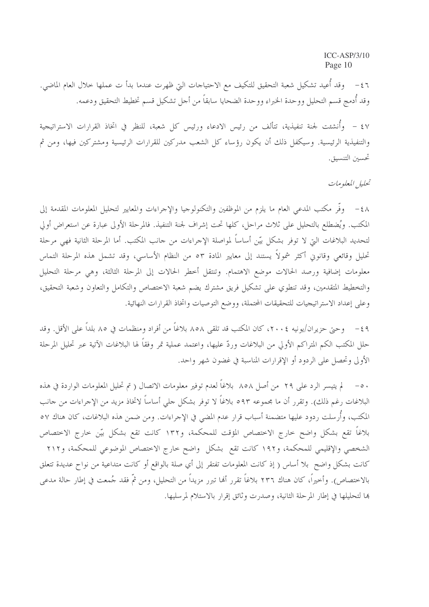٤٦ - وقد أُعيد تشكيل شعبة التحقيق للتكيف مع الاحتياحات التي ظهرت عندما بدأ ت عملها خلال العام الماضي. وقد أُدمج قسم التحليل ووحدة الخبراء ووحدة الضحايا سابقاً من أجل تشكيل قسم تخطيط التحقيق ودعمه.

٤٧ – وأُنشئت لجنة تنفيذية، تتألف من رئيس الادعاء ورئيس كل شعبة، للنظر في اتخاذ القرارات الاستراتيجية والتنفيذية الرئيسية. وسيكفل ذلك أن يكون رؤساء كل الشعب مدركين للقرارات الرئيسية ومشتركين فيها، ومن ثم تحسين التنسيق.

تحليل المعلومات

٤٨ - وفَّر مكتب المدعى العام ما يلزم من الموظفين والتكنولوجيا والإحراءات والمعايير لتحليل المعلومات المقدمة إلى المكتب. ويُضطلع بالتحليل على ثلاث مراحل، كلها تحت إشراف لجنة التنفيذ. فالمرحلة الأولى عبارة عن استعراض أولى لتحديد البلاغات التي لا توفر بشكل بيّن أساساً لمواصلة الإجراءات من جانب المكتب. أما المرحلة الثانية فهي مرحلة تحليل وقائعي وقانوني أكثر شمولاً يستند إلى معايير المادة ٥٣ من النظام الأساسي، وقد تشمل هذه المرحلة التماس معلومات إضافية ورصد الحالات موضع الاهتمام. وتنتقل أحطر الحالات إلى المرحلة الثالثة، وهي مرحلة التحليل والتخطيط المتقدمين، وقد تنطوي على تشكيل فريق مشترك يضم شعبة الاختصاص والتكامل والتعاون وشعبة التحقيق، وعلى إعداد الاستراتيجيات للتحقيقات المحتملة، ووضع التوصيات واتخاذ القرارات النهائية.

٤٩ – وحتى حزيران/يونيه ٢٠٠٤، كان المكتب قد تلقى ٨٥٨ بلاغاً من أفراد ومنظمات في ٨٥ بلداً على الأقل. وقد حلل المكتب الكم المتراكم الأولى من البلاغات وردّ عليها، واعتمد عملية تمر وفقاً لها البلاغات الآتية عبر تحليل المرحلة الأولى وتحصل على الردود أو الإقرارات المناسبة في غضون شهر واحد.

٥٠ – لم يتيسر الرد على ٢٩ من أصل ٨٥٨ بلاغاً لعدم توفير معلومات الاتصال ( تم تحليل المعلومات الواردة في هذه البلاغات رغم ذلك). وتقرر أن ما مجموعه ٥٩٣ بلاغاً لا توفر بشكل حلى أساساً لاتخاذ مزيد من الإحراءات من حانب المكتب، وأُرسلت ردود عليها متضمنة أسباب قرار عدم المضي في الإجراءات. ومن ضمن هذه البلاغات، كان هناك ٥٧ بلاغاً تقع بشكل واضح خارج الاختصاص المؤقت للمحكمة، و١٣٢ كانت تقع بشكل بيّن خارج الاختصاص الشخصي والإقليمي للمحكمة، و١٩٢ كانت تقع بشكل واضح خارج الاختصاص الموضوعي للمحكمة، و٢١٢ كانت بشكل واضح بلا أساس ( إذ كانت المعلومات تفتقر إلى أي صلة بالواقع أو كانت متداعية من نواح عديدة تتعلق بالاختصاص). وأخيراً، كان هناك ٢٣٦ بلاغاً تقرر ألها تبرر مزيداً من التحليل، ومن ثمّ فقد جُمعت في إطار حالة مدعى ها لتحليلها في إطار المرحلة الثانية، وصدرت وثائق إقرار بالاستلام لمرسليها.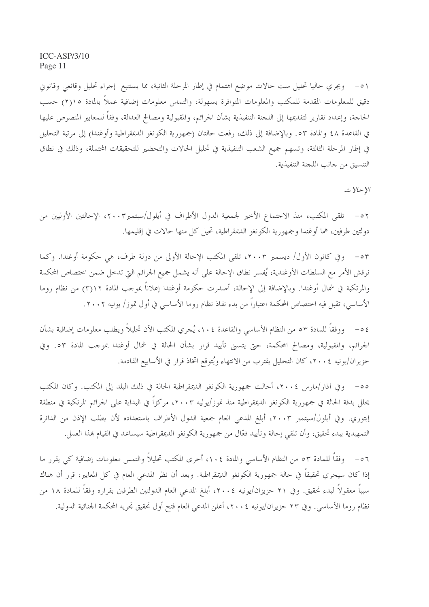٥١ – ويجري حاليا تحليل ست حالات موضع اهتمام في إطار المرحلة الثانية، مما يستتبع إجراء تحليل وقائعي وقانون دقيق للمعلومات المقدمة للمكتب والمعلومات المتوافرة بسهولة، والتماس معلومات إضافية عملاً بالمادة ١٥(٢) حسب الحاجة، وإعداد تقارير لتقديمها إلى اللجنة التنفيذية بشأن الجرائم، والمقبولية ومصالح العدالة، وفقاً للمعايير المنصوص عليها في القاعدة ٤٨ والمادة ٥٣. وبالإضافة إلى ذلك، رفعت حالتان (جمهورية الكونغو الديمقراطية وأوغندا) إلى مرتبة التحليل في إطار المرحلة الثالثة، وتسهم جميع الشعب التنفيذية في تحليل الحالات والتحضير للتحقيقات المحتملة، وذلك في نطاق التنسيق من جانب اللجنة التنفيذية.

 $y \sim y$ 

٥٢ – تلقى المكتب، منذ الاجتماع الأخير لجمعية الدول الأطراف في أيلول/سبتمبر٢٠٠٣، الإحالتين الأوليين من دولتين طرفين، هما أوغندا وجمهورية الكونغو الديمقراطية، تحيل كل منها حالات في إقليمها.

٥٣ - وفي كانون الأول/ ديسمبر ٢٠٠٣، تلقى المكتب الإحالة الأولى من دولة طرف، هي حكومة أوغندا. وكما نوقش الأمر مع السلطات الأوغندية، يُفسر نطاق الإحالة على أنه يشمل جميع الجرائم التي تدخل ضمن اختصاص المحكمة والمرتكبة في شمال أوغندا. وبالإضافة إلى الإحالة، أصدرت حكومة أوغندا إعلاناً بموجب المادة ١٢(٣) من نظام روما الأساسي، تقبل فيه اختصاص المحكمة اعتباراً من بدء نفاذ نظام روما الأساسي في أول تموز/ يوليه ٢٠٠٢.

٤٥- ووفقاً للمادة ٥٣ من النظام الأساسي والقاعدة ١٠٤، يُجري المكتب الآن تحليلاً ويطلب معلومات إضافية بشأن الجرائم، والمقبولية، ومصالح المحكمة، حتى يتسنى تأييد قرار بشأن الحالة في شمال أوغندا بموحب المادة ٥٣. وفي حزيران/يونيه ٢٠٠٤، كان التحليل يقترب من الانتهاء ويُتوقع اتخاذ قرار في الأسابيع القادمة.

٥٥– وفي آذار /مارس ٢٠٠٤، أحالت جمهورية الكونغو الديمقراطية الحالة في ذلك البلد إلى المكتب. وكان المكتب يحلل بدقة الحالة في جمهورية الكونغو الديمقراطية منذ تموز/يوليه ٢٠٠٣، مركزاً في البداية على الجرائم المرتكبة في منطقة إيتوري. وفي أيلول/سبتمبر ٢٠٠٣، أبلغ المدعى العام جمعية الدول الأطراف باستعداده لأن يطلب الإذن من الدائرة التمهيدية ببدء تحقيق، وأن تلقى إحالة وتأييد فعّال من جمهورية الكونغو الديمقراطية سيساعد في القيام هذا العمل.

وفقاً للمادة ٥٣ من النظام الأساسي والمادة ١٠٤، أجرى المكتب تحليلاً والتمس معلومات إضافية كي يقرر ما  $-07$ إذا كان سيجري تحقيقاً في حالة جمهورية الكونغو الديمقراطية. وبعد أن نظر المدعى العام في كل المعايير، قرر أن هناك سبباً معقولاً لبدء تحقيق. وفي ٢١ حزيزان/يونيه ٢٠٠٤، أبلغ المدعي العام الدولتين الطرفين بقراره وفقاً للمادة ١٨ من نظام روما الأساسي. وفي ٢٣ حزيران/يونيه ٢٠٠٤، أعلن المدعى العام فتح أول تحقيق تحريه المحكمة الجنائية الدولية.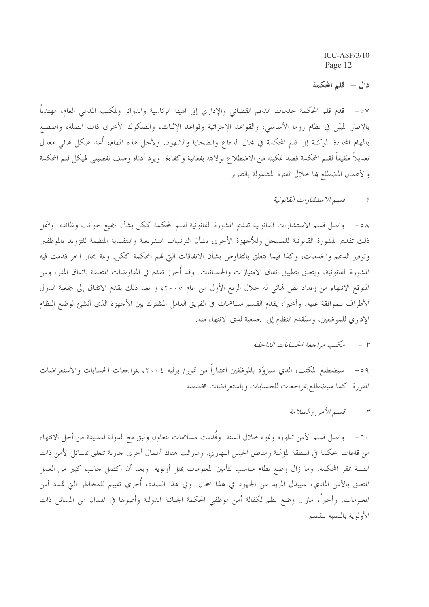دال – قلم المحكمة

٥٧ – قدم قلم المحكمة خدمات الدعم القضائي والإداري إلى الهيئة الرئاسية والدوائر ولمكتب المدعى العام، مهتدياً بالإطار المبيّن في نظام روما الأساسي، والقواعد الإجرائية وقواعد الإثبات، والصكوك الأخرى ذات الصلة، واضطلع بالمهام المحددة الموكلة إلى قلم المحكمة في مجال الدفاع والضحايا والشهود. ولأحل هذه المهام، أُعد هيكل فمائي معدل تعديلاً طفيفاً لقلم المحكمة قصد تمكينه من الاضطلاع بولايته بفعالية وكفاءة. ويرد أدناه وصف تفصيلي لهيكل قلم المحكمة والأعمال المضطلع ها حلال الفترة المشمولة بالتقرير.

> قسيم الاستشارات القانونية  $\qquad$

٥٨ – واصل قسم الاستشارات القانونية تقديم المشورة القانونية لقلم المحكمة ككل بشأن جميع جوانب وظائفه. وشمل ذلك تقديم المشورة القانونية للمسجل وللأجهزة الأخرى بشأن الترتيبات التشريعية والتنفيذية المنظمة للتزويد بالموظفين وتوفير الدعم والخدمات، وكذا فيما يتعلق بالتفاوض بشأن الاتفاقات التي قمم المحكمة ككل. وثمة مجال آخر قدمت فيه المشورة القانونية، ويتعلق بتطبيق اتفاق الامتيازات والحصانات. وقد أُحرز تقدم في المفاوضات المتعلقة باتفاق المقر، ومن المتوقع الانتهاء من إعداد نص نمائي له خلال الربع الأول من عام ٢٠٠٥، و بعد ذلك يقدم الاتفاق إلى جمعية الدول الأطراف للموافقة عليه. وأحيراً، يقدم القسم مساهمات في الفريق العامل المشترك بين الأجهزة الذي أنشئ لوضع النظام الإداري للموظفين، وسيُقدم النظام إلى الجمعية لدى الانتهاء منه.

> مكتب مراجعة الحسابات اللياحلية  $- r$

سيضطلع المكتب، الذي سيزوَّد بالموظفين اعتباراً من تموز/ يوليه ٢٠٠٤، بمراجعات الحسابات والاستعراضات  $-\circ q$ المقررة. كما سيضطلع بمراجعات للحسابات وباستعراضات مخصصة.

> قسم الأمن والسلامة  $- r$

٦٠– واصل قسم الأمن تطوره ونموه حلال السنة. وقُدمت مساهمات بتعاون وثيق مع الدولة المضيفة من أجل الانتهاء من قاعات المحكمة في المنطقة المؤمّنة ومناطق الحبس النهاري. ومازالت هناك أعمال أخرى جارية تتعلق بمسائل الأمن ذات الصلة بمقر المحكمة. وما زال وضع نظام مناسب لتأمين المعلومات يمثل أولوية. وبعد أن اكتمل جانب كبير من العمل المتعلق بالأمن المادي، سيبذل المزيد من الجهود في هذا المجال. وفي هذا الصدد، أُجري تقييم للمخاطر التي قمدد أمن المعلومات. وأخيراً، مازال وضع نظم لكفالة أمن موظفي المحكمة الجنائية الدولية وأصولها في الميدان من المسائل ذات الأولوية بالنسبة للقسم.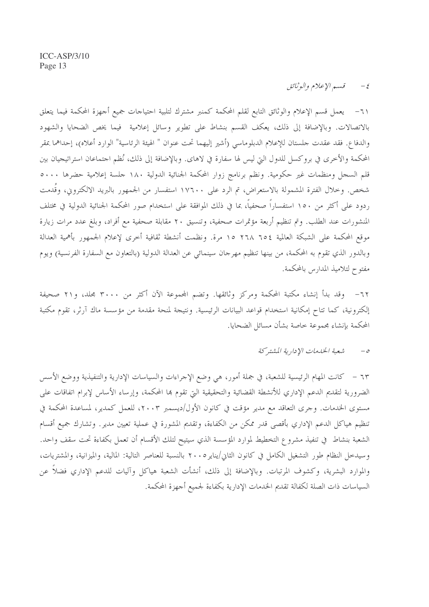٦١– يعمل قسم الإعلام والوثائق التابع لقلم المحكمة كمنبر مشترك لتلبية احتياجات جميع أجهزة المحكمة فيما يتعلق بالاتصالات. وبالإضافة إلى ذلك، يعكف القسم بنشاط على تطوير وسائل إعلامية فيما يخص الضحايا والشهود والدفاع. فقد عقدت حلستان للإعلام الدبلوماسي (أشير إليهما تحت عنوان " الهيئة الرئاسية" الوارد أعلاه)، إحداهما بمقر المحكمة والأخرى في بروكسل للدول التي ليس لها سفارة في لاهاى. وبالإضافة إلى ذلك، نُظم احتماعان استراتيجيان بين قلم السجل ومنظمات غير حكومية. ونظم برنامج زوار المحكمة الجنائية الدولية ١٨٠ جلسة إعلامية حضرها ٥٠٠٠ شخص. وخلال الفترة المشمولة بالاستعراض، تم الرد على ١٧٦٠٠ استفسار من الجمهور بالبريد الالكتروني، وقَدمت ردود على أكثر من ١٥٠ استفساراً صحفياً، بما في ذلك الموافقة على استخدام صور المحكمة الجنائية الدولية في مختلف المنشورات عند الطلب. وتم تنظيم أربعة مؤتمرات صحفية، وتنسيق ٢٠ مقابلة صحفية مع أفراد، وبلغ عدد مرات زيارة موقع المحكمة على الشبكة العالمية ٢٥٤ ٢٦٨ ١٥ مرة. ونظمت أنشطة ثقافية أخرى لإعلام الجمهور بأهمية العدالة وبالدور الذي تقوم به المحكمة، من بينها تنظيم مهرجان سينمائي عن العدالة الدولية (بالتعاون مع السفارة الفرنسية) ويوم مفتوح لتلاميذ المدارس بالمحكمة.

٦٢– وقد بدأ إنشاء مكتبة المحكمة ومركز وثائقها. وتضم المحموعة الآن أكثر من ٣٠٠٠ مجلد، و٢١ صحيفة إلكترونية، كما تتاح إمكانية استخدام قواعد البيانات الرئيسية. ونتيجة لمنحة مقدمة من مؤسسة ماك آرثر، تقوم مكتبة المحكمة بإنشاء مجموعة خاصة بشأن مسائل الضحايا.

#### شعبة الخدمات الإدارية المشتركة  $-\circ$

٦٣ – كانت المهام الرئيسية للشعبة، في جملة أمور، هي وضع الإجراءات والسياسات الإدارية والتنفيذية ووضع الأسس الضرورية لتقديم الدعم الإداري للأنشطة القضائية والتحقيقية التي تقوم بما المحكمة، وإرساء الأساس لإبرام اتفاقات على مستوى الخدمات. وجرى التعاقد مع مدير مؤقت في كانون الأول/ديسمبر ٢٠٠٣، للعمل كمدير، لمساعدة المحكمة في تنظيم هياكل الدعم الإداري بأقصى قدر ممكن من الكفاءة، وتقديم المشورة في عملية تعيين مدير. وتشارك جميع أقسام الشعبة بنشاط في تنفيذ مشرو ع التخطيط لموارد المؤسسة الذي سيتيح لتلك الأقسام أن تعمل بكفاءة تحت سقف واحد. وسيدخل النظام طور التشغيل الكامل في كانون الثاني/يناير ٢٠٠٥ بالنسبة للعناصر التالية: المالية، والميزانية، والمشتريات، والموارد البشرية، وكشوف المرتبات. وبالإضافة إلى ذلك، أنشأت الشعبة هياكل وآليات للدعم الإداري فضلاً عن السياسات ذات الصلة لكفالة تقديم الخدمات الإدارية بكفاءة لجميع أجهزة المحكمة.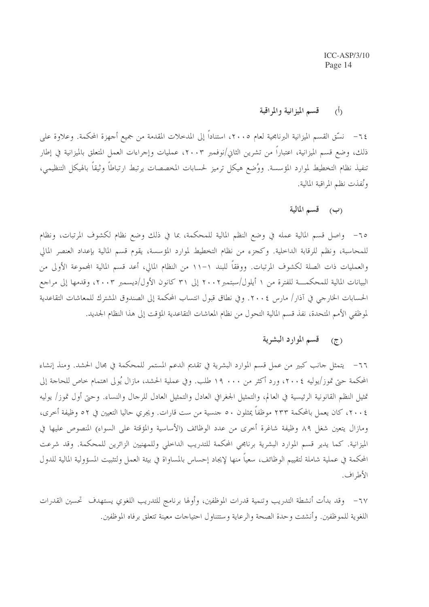#### قسم الميزانية والمراقبة  $(\mathfrak{h})$

٦٤– نسَّق القسم الميزانية البرنامجية لعام ٢٠٠٥، استناداً إلى المدحلات المقدمة من جميع أجهزة المحكمة. وعلاوة على ذلك، وضع قسم الميزانية، اعتباراً من تشرين الثانى/نوفمبر ٢٠٠٣، عمليات وإجراءات العمل المتعلق بالميزانية في إطار تنفيذ نظام التخطيط لموارد المؤسسة. ووُضع هيكل ترميز لحسابات المخصصات يرتبط ارتباطاً وثيقاً بالهيكل التنظيمي، ونُفذت نظم المراقبة المالية.

### (ب) قسم المالية

٦٥– واصل قسم المالية عمله في وضع النظم المالية للمحكمة، بما في ذلك وضع نظام لكشوف المرتبات، ونظام للمحاسبة، ونظم للرقابة الداحلية. وكجزء من نظام التخطيط لموارد المؤسسة، يقوم قسم المالية بإعداد العنصر المالي والعمليات ذات الصلة لكشوف المرتبات. ووفقاً للبند ١١-١١ من النظام المالي، أعد قسم المالية الجموعة الأولى من البيانات المالية للمحكمـــة للفترة من ١ أيلول/سبتمبر٢٠٠٢ إلى ٣١ كانون الأول/ديسمبر ٢٠٠٣، وقدمها إلى مراجع الحسابات الخارجي في آذار/ مارس ٢٠٠٤. وفي نطاق قبول انتساب المحكمة إلى الصندوق المشترك للمعاشات التقاعدية لموظفي الأمم المتحدة، نفذ قسم المالية التحول من نظام المعاشات التقاعدية المؤقت إلى هذا النظام الجديد.

# (ج) قسم الموارد البشرية

٦٦– يتمثل جانب كبير من عمل قسم الموارد البشرية في تقديم الدعم المستمر للمحكمة في مجال الحشد. ومنذ إنشاء المحكمة حتى تموز/يوليه ٢٠٠٤، ورد أكثر من ١٩٠٠ طلب. وفي عملية الحشد، مازال يُولى اهتمام حاص للحاحة إلى تمثيل النظم القانونية الرئيسية في العالم، والتمثيل الجغرافي العادل والتمثيل العادل للرحال والنساء. وحتى أول تموز/ يوليه ٢٠٠٤، كان يعمل بالمحكمة ٢٣٣ موظفاً يمثلون ٥٠ جنسية من ست قارات. ويجري حاليا التعيين في ٥٢ وظيفة أخرى، ومازال يتعين شغل ٨٩ وظيفة شاغرة أخرى من عدد الوظائف (الأساسية والمؤقتة على السواء) المنصوص عليها في الميزانية. كما يدير قسم الموارد البشرية برنامجي المحكمة للتدريب الداحلي وللمهنيين الزائرين للمحكمة. وقد شرعت المحكمة في عملية شاملة لتقييم الوظائف، سعياً منها لإيجاد إحساس بالمساواة في بيئة العمل ولتثبيت المسؤولية المالية للدول الأطراف.

٦٧ – وقد بدأت أنشطة التدريب وتنمية قدرات الموظفين، وأولها برنامج للتدريب اللغوي يستهدف تحسين القدرات اللغوية للموظفين. وأنشئت وحدة الصحة والرعاية وستتناول احتياجات معينة تتعلق برفاه الموظفين.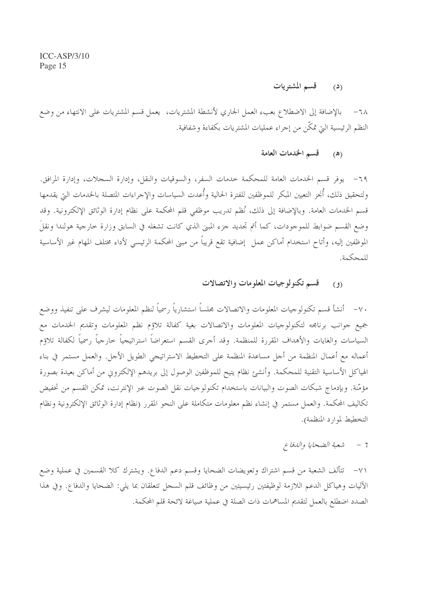#### قسم المشتريات  $(2)$

٦٨ – بالإضافة إلى الاضطلاع بعبء العمل الجاري لأنشطة المشتريات، يعمل قسم المشتريات على الانتهاء من وضع النظم الرئيسية التي تمكَّن من إجراء عمليات المشتريات بكفاءة وشفافية.

#### قسم الخدمات العامة  $(\triangle)$

٦٩– يوفر قسم الخدمات العامة للمحكمة حدمات السفر، والسوقيات والنقل، وإدارة السحلات، وإدارة المرافق. ولتحقيق ذلك، أُبُخز التعيين المبكر للموظفين للفترة الحالية وأُعدت السياسات والإجراءات المتصلة بالخدمات التي يقدمها قسم الخدمات العامة. وبالإضافة إلى ذلك، نُظم تدريب موظفي قلم المحكمة على نظام إدارة الوثائق الإلكترونية. وقد وضع القسم ضوابط للموجودات، كما أتم تحديد جزء المبني الذي كانت تشغله في السابق وزارة حارجية هولندا ونقلَ الموظفين إليه، وأتاح استخدام أماكن عمل ۖ إضافية تقع قريباً من مبنى المحكمة الرئيسي لأداء مختلف المهام غير الأساسية للمحكمة.

#### قسم تكنولوجيات المعلومات والاتصالات  $(9)$

٧٠– أنشأ قسم تكنولوجيات المعلومات والاتصالات مجلساً استشارياً رسمياً لنظم المعلومات ليشرف على تنفيذ ووضع جميع جوانب برنامجه لتكنولوجيات المعلومات والاتصالات بغية كفالة تلاؤم نظم المعلومات وتقديم الخدمات مع السياسات والغايات والأهداف المقررة للمنظمة. وقد أجرى القسم استعراضاً استراتيجياً خارجياً رسمياً لكفالة تلاؤم أعماله مع أعمال المنظمة من أجل مساعدة المنظمة على التخطيط الاستراتيجي الطويل الأجل. والعمل مستمر في بناء الهياكل الأساسية التقنية للمحكمة. وأنشئ نظام يتيح للموظفين الوصول إلى بريدهم الإلكتروني من أماكن بعيدة بصورة مؤمّنة. وبإدماج شبكات الصوت والبيانات باستخدام تكنولوجيات نقل الصوت عبر الإنترنت، تمكن القسم من تخفيض تكاليف المحكمة. والعمل مستمر في إنشاء نظم معلومات متكاملة على النحو المقرر (نظام إدارة الوثائق الإلكترونية ونظام التخطيط لموارد المنظمة).

#### شعبة الضحايا والدفاع  $-7$

٧١– تتألف الشعبة من قسم اشتراك وتعويضات الضحايا وقسم دعم الدفاع. ويشترك كلا القسمين في عملية وضع الآليات وهياكل الدعم اللازمة لوظيفتين رئيسيتين من وظائف قلم السجل تتعلقان بما يلي: الضحايا والدفاع. وفي هذا الصدد اضطلع بالعمل لتقديم المساهمات ذات الصلة في عملية صياغة لائحة قلم المحكمة.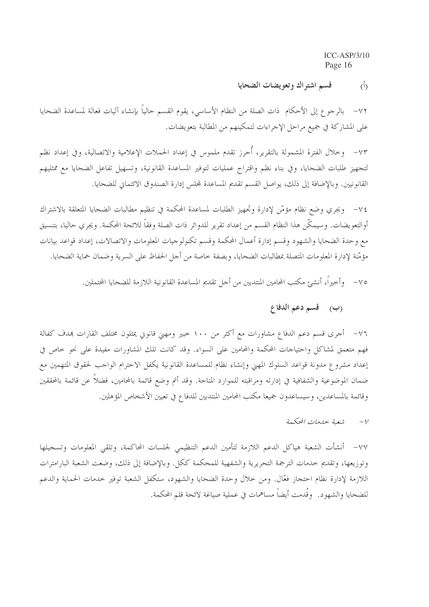#### قسم اشتراك وتعويضات الضحايا  $\hat{(\mathcal{L})}$

٧٢ – بالرجوع إلى الأحكام ذات الصلة من النظام الأساسي، يقوم القسم حالياً بإنشاء آليات فعالة لمساعدة الضحايا على المشاركة في جميع مراحل الإجراءات لتمكينهم من المطالبة بتعويضات.

٧٣– وخلال الفترة المشمولة بالتقرير، أُحرز تقدم ملموس في إعداد الحملات الإعلامية والاتصالية، وفي إعداد نظم لتجهيز طلبات الضحايا، وفي بناء نظم واقتراح عمليات لتوفير المساعدة القانونية، وتسهيل تفاعل الضحايا مع ممثليهم القانونيين. وبالإضافة إلى ذلك، يواصل القسم تقديم المساعدة لمحلس إدارة الصندوق الائتماني للضحايا.

٧٤ – ويجري وضع نظام مؤمَّن لإدارة وتجهيز الطلبات لمساعدة المحكمة في تنظيم مطالبات الضحايا المتعلقة بالاشتراك أوالتعويضات. وسيمكِّن هذا النظام القسم من إعداد تقرير للدوائر ذات الصلة وفقاً للائحة المحكمة. ويجري حاليا، بتنسيق مع وحدة الضحايا والشهود وقسم إدارة أعمال المحكمة وقسم تكنولوجيات المعلومات والاتصالات، إعداد قواعد بيانات مؤمّنة لإدارة المعلومات المتصلة بمطالبات الضحايا، وبصفة حاصة من أجل الحفاظ على السرية وضمان حماية الضحايا.

٧٥ – وأحيراً، أنشئ مكتب المحامين المنتدبين من أجل تقديم المساعدة القانونية اللازمة للضحايا المحتملين.

# (ب) قسم دعم الدفاع

٧٦– أجرى قسم دعم الدفاع مشاورات مع أكثر من ١٠٠ خبير ومهني قانوني يمثلون مختلف القارات بمدف كفالة فهم متعمق لمشاكل واحتياجات المحكمة والمحامين على السواء. وقد كانت تلك المشاورات مفيدة على نحو حاص في إعداد مشروع مدونة قواعد السلوك المهنى وإنشاء نظام للمساعدة القانونية يكفل الاحترام الواجب لحقوق المتهمين مع ضمان الموضوعية والشفافية في إدارته ومراقبته للموارد المتاحة. وقد أتم وضع قائمة بالمحامين، فضلاً عن قائمة بالمحققين وقائمة بالمساعدين، وسيساعدون جميعا مكتب المحامين المنتدبين للدفاع في تعيين الأشخاص المؤهلين.

#### شعبة خدمات المحكمة  $-\nu$

٧٧– أنشأت الشعبة هياكل الدعم اللازمة لتأمين الدعم التنظيمي لجلسات المحاكمة، وتلقى المعلومات وتسجيلها وتوزيعها، وتقديم حدمات الترجمة التحريرية والشفهية للمحكمة ككل. وبالإضافة إلى ذلك، وضعت الشعبة البارامترات اللازمة لإدارة نظام احتجاز فعّال. ومن حلال وحدة الضحايا والشهود، ستكفل الشعبة توفير حدمات الحماية والدعم للضحايا والشهود. وقَدمت أيضاً مساهمات في عملية صياغة لائحة قلم المحكمة.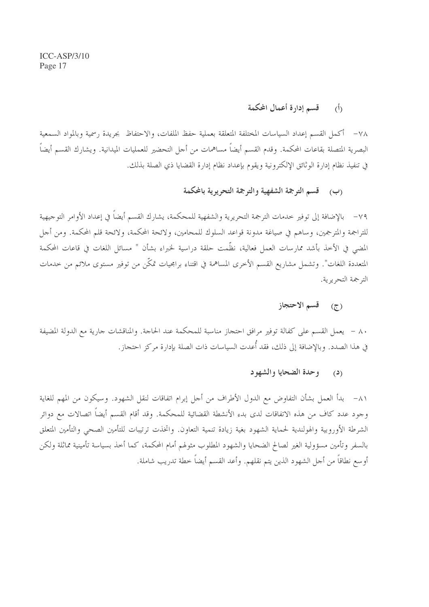#### قسم إدارة أعمال المحكمة  $\langle \hat{b} \rangle$

٧٨– أكمل القسم إعداد السياسات المختلفة المتعلقة بعملية حفظ الملفات، والاحتفاظ بجريدة رسمية وبالمواد السمعية البصرية المتصلة بقاعات المحكمة. وقدم القسم أيضاً مساهمات من أحل التحضير للعمليات الميدانية. ويشارك القسم أيضاً في تنفيذ نظام إدارة الوثائق الإلكترونية ويقوم بإعداد نظام إدارة القضايا ذي الصلة بذلك.

### (ب) قسم الترجمة الشفهية والترجمة التحريرية بالمحكمة

٧٩ – بالإضافة إلى توفير خدمات الترجمة التحريرية والشفهية للمحكمة، يشارك القسم أيضاً في إعداد الأوامر التوجيهية للتراجمة والمترجمين، وساهم في صياغة مدونة قواعد السلوك للمحامين، ولائحة المحكمة، ولائحة قلم المحكمة. ومن أجل المضى في الأخذ بأشد ممارسات العمل فعالية، نظَّمت حلقة دراسية لخبراء بشأن " مسائل اللغات في قاعات المحكمة المتعددة اللغات". وتشمل مشاريع القسم الأخرى المساهمة في اقتناء برامجيات تمكّن من توفير مستوى ملائم من خدمات الترجمة التحريرية.

## (ج) قسم الاحتجاز

٨٠ – يعمل القسم على كفالة توفير مرافق احتجاز مناسبة للمحكمة عند الحاجة. والمناقشات جارية مع الدولة المضيفة في هذا الصدد. وبالإضافة إلى ذلك، فقد أُعدت السياسات ذات الصلة بإدارة مركز احتجاز.

#### وحدة الضحايا والشهود  $\mathbf{C}$

٨١ – بدأ العمل بشأن التفاوض مع الدول الأطراف من أجل إبرام اتفاقات لنقل الشهود. وسيكون من المهم للغاية وجود عدد كاف من هذه الاتفاقات لدى بدء الأنشطة القضائية للمحكمة. وقد أقام القسم أيضاً اتصالات مع دوائر الشرطة الأوروبية والهولندية لحماية الشهود بغية زيادة تنمية التعاون. واتخذت ترتيبات للتأمين الصحى والتأمين المتعلق بالسفر وتأمين مسؤولية الغير لصالح الضحايا والشهود المطلوب مثولهم أمام المحكمة، كما أخذ بسياسة تأمينية مماثلة ولكن أو سع نطاقاً من أجل الشهود الذين يتم نقلهم. وأعد القسم أيضاً خطة تدريب شاملة.